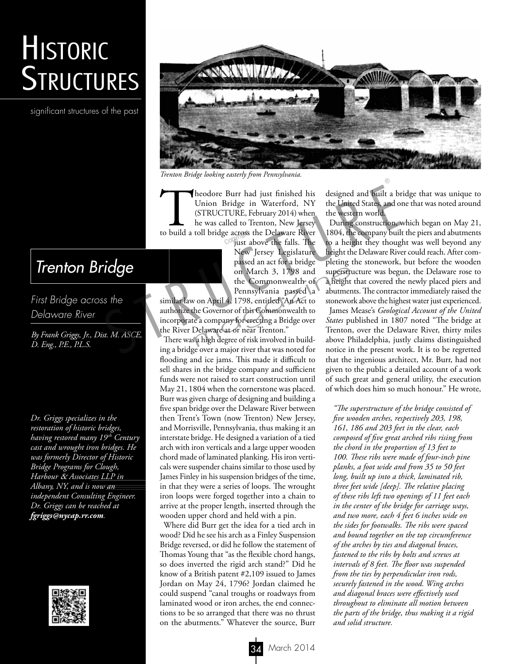## **HISTORIC STRUCTURES**

significant structures of the past



*Trenton Bridge looking easterly from Pennsylvania.*

Theodore Burr had just finished his Union Bridge in Waterford, NY (STRUCTURE, February 2014) when he was called to Trenton, New Jersey to build a toll bridge across the Delaware River<br>iust above the falls. The

just above the falls. The New Jersey Legislature passed an act for a bridge on March 3, 1798 and the Commonwealth of Pennsylvania passed a

similar law on April 4, 1798, entitled "An Act to authorize the Governor of this Commonwealth to incorporate a company for erecting a Bridge over the River Delaware at or near Trenton." on March 3, 1798 and<br>the Commonwealth of a height<br>pennsylvania passed a abutmen<br>on April 4, 1798, entitled "An Act to stonewor<br>he Governor of this Commonwealth to James 1<br>e a company for erecting a Bridge over *States* pu<br>

There was a high degree of risk involved in building a bridge over a major river that was noted for flooding and ice jams. This made it difficult to sell shares in the bridge company and sufficient funds were not raised to start construction until May 21, 1804 when the cornerstone was placed. Burr was given charge of designing and building a five span bridge over the Delaware River between then Trent's Town (now Trenton) New Jersey, and Morrisville, Pennsylvania, thus making it an interstate bridge. He designed a variation of a tied arch with iron verticals and a large upper wooden chord made of laminated planking. His iron verticals were suspender chains similar to those used by James Finley in his suspension bridges of the time, in that they were a series of loops. The wrought iron loops were forged together into a chain to arrive at the proper length, inserted through the wooden upper chord and held with a pin.

Where did Burr get the idea for a tied arch in wood? Did he see his arch as a Finley Suspension Bridge reversed, or did he follow the statement of Thomas Young that "as the flexible chord hangs, so does inverted the rigid arch stand?" Did he know of a British patent #2,109 issued to James Jordan on May 24, 1796? Jordan claimed he could suspend "canal troughs or roadways from laminated wood or iron arches, the end connections to be so arranged that there was no thrust on the abutments." Whatever the source, Burr

designed and built a bridge that was unique to the United States, and one that was noted around the western world.

During construction, which began on May 21, 1804, the company built the piers and abutments to a height they thought was well beyond any height the Delaware River could reach. After completing the stonework, but before the wooden superstructure was begun, the Delaware rose to a height that covered the newly placed piers and abutments. The contractor immediately raised the stonework above the highest water just experienced. James Mease's *Geological Account of the United States* published in 1807 noted "The bridge at Trenton, over the Delaware River, thirty miles above Philadelphia, justly claims distinguished notice in the present work. It is to be regretted From the United States, and United States, and Union Britrels in Waterford, NY the United States, and USITRUCTURE, February 2014) when the western world.<br>
In USTRUCTURE, February 2014) when the western world.<br>
In the was c

that the ingenious architect, Mr. Burr, had not given to the public a detailed account of a work of such great and general utility, the execution of which does him so much honour." He wrote,

*"The superstructure of the bridge consisted of five wooden arches, respectively 203, 198, 161, 186 and 203 feet in the clear, each composed of five great arched ribs rising from the chord in the proportion of 13 feet to 100. These ribs were made of four-inch pine planks, a foot wide and from 35 to 50 feet long, built up into a thick, laminated rib, three feet wide [deep]. The relative placing of these ribs left two openings of 11 feet each in the center of the bridge for carriage ways, and two more, each 4 feet 6 inches wide on the sides for footwalks. The ribs were spaced and bound together on the top circumference of the arches by ties and diagonal braces, fastened to the ribs by bolts and screws at intervals of 8 feet. The floor was suspended from the ties by perpendicular iron rods, securely fastened in the wood. Wing arches and diagonal braces were effectively used throughout to eliminate all motion between the parts of the bridge, thus making it a rigid and solid structure.*

## *Trenton Bridge*

*First Bridge across the Delaware River*

*By Frank Griggs, Jr., Dist. M. ASCE, D. Eng., P.E., P.L.S.*

*Dr. Griggs specializes in the restoration of historic bridges, having restored many 19th Century cast and wrought iron bridges. He was formerly Director of Historic Bridge Programs for Clough, Harbour* & *Associates LLP in Albany, NY, and is now an independent Consulting Engineer. Dr. Griggs can be reached at fgriggs@nycap.rr.com.*

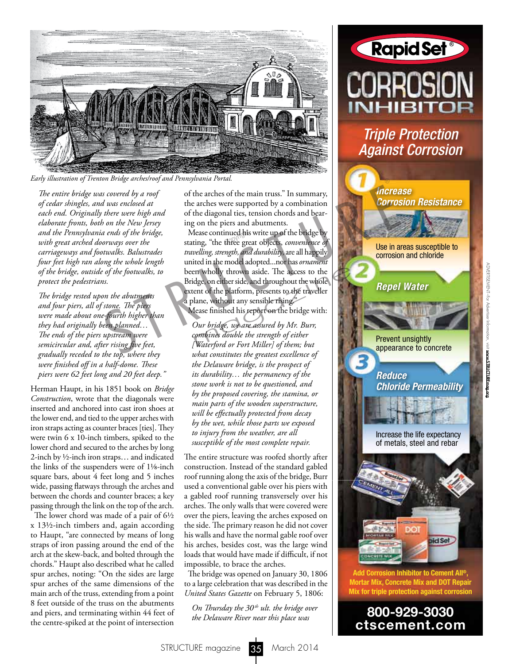

*Early illustration of Trenton Bridge arches/roof and Pennsylvania Portal.*

*The entire bridge was covered by a roof of cedar shingles, and was enclosed at each end. Originally there were high and elaborate fronts, both on the New Jersey and the Pennsylvania ends of the bridge, with great arched doorways over the carriageways and footwalks. Balustrades four feet high ran along the whole length of the bridge, outside of the footwalks, to protect the pedestrians.*

*The bridge rested upon the abutments and four piers, all of stone. The piers were made about one-fourth higher than they had originally been planned… The ends of the piers upstream were semicircular and, after rising five feet, gradually receded to the top, where they were finished off in a half-dome. These piers were 62 feet long and 20 feet deep."*

Herman Haupt, in his 1851 book on *Bridge Construction*, wrote that the diagonals were inserted and anchored into cast iron shoes at the lower end, and tied to the upper arches with iron straps acting as counter braces [ties]. They were twin 6 x 10-inch timbers, spiked to the lower chord and secured to the arches by long 2-inch by ½-inch iron straps… and indicated the links of the suspenders were of 11/8-inch square bars, about 4 feet long and 5 inches wide, passing flatways through the arches and between the chords and counter braces; a key passing through the link on the top of the arch.

The lower chord was made of a pair of  $6\frac{1}{2}$ x 131/2-inch timbers and, again according to Haupt, "are connected by means of long straps of iron passing around the end of the arch at the skew-back, and bolted through the chords." Haupt also described what he called spur arches, noting: "On the sides are large spur arches of the same dimensions of the main arch of the truss, extending from a point 8 feet outside of the truss on the abutments and piers, and terminating within 44 feet of the centre-spiked at the point of intersection

of the arches of the main truss." In summary, the arches were supported by a combination of the diagonal ties, tension chords and bearing on the piers and abutments.

Mease continued his write up of the bridge by Mease continued his write up of the bridge by stating, "the three great objects, *convenience of travelling, strength, and durability*, are all happily united in the model adopted...nor has *ornament* been wholly thrown aside. The access to the Bridge, on either side, and throughout the whole extent of the platform, presents to the traveller a plane, without any sensible rising." on principal areas are also are also and the archess of the main truss." In summary,<br>
the acchess were supported by a combination<br>
there were bigh and<br>
on the New Jersey<br>
or the New Jersey<br>
or the New Jersey<br>
or the New Je Example thrown aside. The access to the<br>dge, on either side, and throughout the whole<br>ent of the platform, presents to the traveller<br>lane, without any sensible rising."<br>fease finished his report on the bridge with:<br>Our br

Mease finished his report on the bridge with:

*Our bridge, we are assured by Mr. Burr, combines double the strength of either [Waterford or Fort Miller] of them; but what constitutes the greatest excellence of the Delaware bridge, is the prospect of its durability… the permanency of the stone work is not to be questioned, and by the proposed covering, the stamina, or main parts of the wooden superstructure, will be effectually protected from decay by the wet, while those parts we exposed to injury from the weather, are all susceptible of the most complete repair.*

The entire structure was roofed shortly after construction. Instead of the standard gabled roof running along the axis of the bridge, Burr used a conventional gable over his piers with a gabled roof running transversely over his arches. The only walls that were covered were over the piers, leaving the arches exposed on the side. The primary reason he did not cover his walls and have the normal gable roof over his arches, besides cost, was the large wind loads that would have made if difficult, if not impossible, to brace the arches.

The bridge was opened on January 30, 1806 to a large celebration that was described in the *United States Gazette* on February 5, 1806:

*On Thursday the 30<sup>th</sup> ult. the bridge over the Delaware River near this place was* 



*Triple Protection Against Corrosion*



 www.STRUCTUREmag.org www.STRUCTUREmag.org

ADVERTISEMENT–For Advertiser Information, visit

ADVERTISE/VENT-For Advertiser Information, visit

800-929-3030 ctscement.com